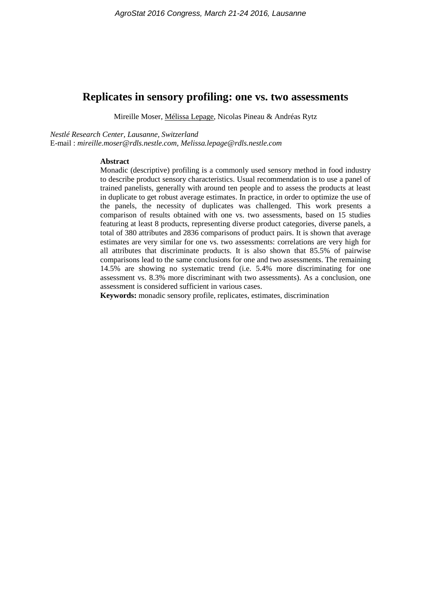# **Replicates in sensory profiling: one vs. two assessments**

Mireille Moser, Mélissa Lepage, Nicolas Pineau & Andréas Rytz

*Nestlé Research Center, Lausanne, Switzerland*

E-mail : *mireille.moser@rdls.nestle.com, Melissa.lepage@rdls.nestle.com*

#### **Abstract**

Monadic (descriptive) profiling is a commonly used sensory method in food industry to describe product sensory characteristics. Usual recommendation is to use a panel of trained panelists, generally with around ten people and to assess the products at least in duplicate to get robust average estimates. In practice, in order to optimize the use of the panels, the necessity of duplicates was challenged. This work presents a comparison of results obtained with one vs. two assessments, based on 15 studies featuring at least 8 products, representing diverse product categories, diverse panels, a total of 380 attributes and 2836 comparisons of product pairs. It is shown that average estimates are very similar for one vs. two assessments: correlations are very high for all attributes that discriminate products. It is also shown that 85.5% of pairwise comparisons lead to the same conclusions for one and two assessments. The remaining 14.5% are showing no systematic trend (i.e. 5.4% more discriminating for one assessment vs. 8.3% more discriminant with two assessments). As a conclusion, one assessment is considered sufficient in various cases.

**Keywords:** monadic sensory profile, replicates, estimates, discrimination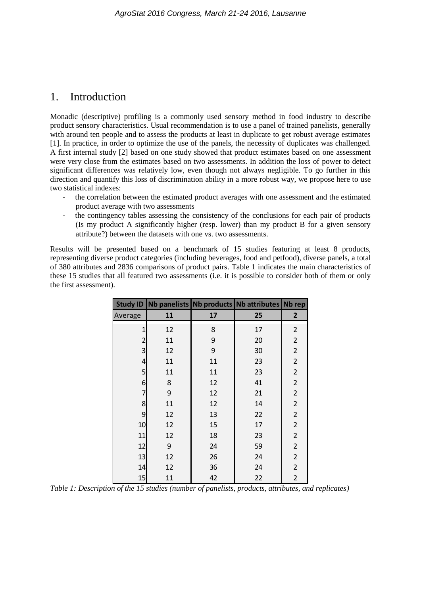# 1. Introduction

Monadic (descriptive) profiling is a commonly used sensory method in food industry to describe product sensory characteristics. Usual recommendation is to use a panel of trained panelists, generally with around ten people and to assess the products at least in duplicate to get robust average estimates [1]. In practice, in order to optimize the use of the panels, the necessity of duplicates was challenged. A first internal study [2] based on one study showed that product estimates based on one assessment were very close from the estimates based on two assessments. In addition the loss of power to detect significant differences was relatively low, even though not always negligible. To go further in this direction and quantify this loss of discrimination ability in a more robust way, we propose here to use two statistical indexes:

- the correlation between the estimated product averages with one assessment and the estimated product average with two assessments
- the contingency tables assessing the consistency of the conclusions for each pair of products (Is my product A significantly higher (resp. lower) than my product B for a given sensory attribute?) between the datasets with one vs. two assessments.

Results will be presented based on a benchmark of 15 studies featuring at least 8 products, representing diverse product categories (including beverages, food and petfood), diverse panels, a total of 380 attributes and 2836 comparisons of product pairs. Table 1 indicates the main characteristics of these 15 studies that all featured two assessments (i.e. it is possible to consider both of them or only the first assessment).

|                |    |    | Study ID Nb panelists Nb products Nb attributes Nb rep |                         |
|----------------|----|----|--------------------------------------------------------|-------------------------|
| Average        | 11 | 17 | 25                                                     | $\mathbf{2}$            |
| $\mathbf{1}$   | 12 | 8  | 17                                                     | $\overline{\mathbf{c}}$ |
| $\overline{c}$ | 11 | 9  | 20                                                     | $\overline{c}$          |
| 3              | 12 | 9  | 30                                                     | $\overline{2}$          |
| $\overline{a}$ | 11 | 11 | 23                                                     | $\overline{c}$          |
| 5              | 11 | 11 | 23                                                     | $\overline{c}$          |
| 6              | 8  | 12 | 41                                                     | $\overline{2}$          |
| 7              | 9  | 12 | 21                                                     | $\overline{c}$          |
| 8              | 11 | 12 | 14                                                     | $\overline{2}$          |
| 9              | 12 | 13 | 22                                                     | $\overline{2}$          |
| 10             | 12 | 15 | 17                                                     | $\overline{2}$          |
| 11             | 12 | 18 | 23                                                     | $\overline{c}$          |
| 12             | 9  | 24 | 59                                                     | $\overline{2}$          |
| 13             | 12 | 26 | 24                                                     | $\overline{2}$          |
| 14             | 12 | 36 | 24                                                     | $\overline{2}$          |
| 15             | 11 | 42 | 22                                                     | $\overline{2}$          |

*Table 1: Description of the 15 studies (number of panelists, products, attributes, and replicates)*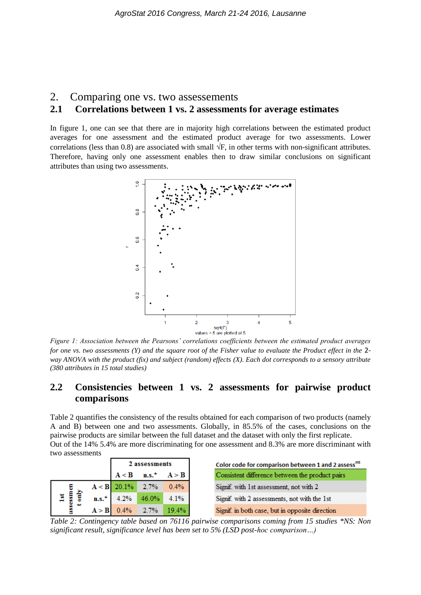#### 2. Comparing one vs. two assessements

### **2.1 Correlations between 1 vs. 2 assessments for average estimates**

In figure 1, one can see that there are in majority high correlations between the estimated product averages for one assessment and the estimated product average for two assessments. Lower correlations (less than 0.8) are associated with small  $\sqrt{F}$ , in other terms with non-significant attributes. Therefore, having only one assessment enables then to draw similar conclusions on significant attributes than using two assessments.



*Figure 1: Association between the Pearsons' correlations coefficients between the estimated product averages for one vs. two assessments (Y) and the square root of the Fisher value to evaluate the Product effect in the* 2 *way ANOVA with the product (fix) and subject (random) effects (X). Each dot corresponds to a sensory attribute (380 attributes in 15 total studies)*

## **2.2 Consistencies between 1 vs. 2 assessments for pairwise product comparisons**

Table 2 quantifies the consistency of the results obtained for each comparison of two products (namely A and B) between one and two assessments. Globally, in 85.5% of the cases, conclusions on the pairwise products are similar between the full dataset and the dataset with only the first replicate. Out of the 14% 5.4% are more discriminating for one assessment and 8.3% are more discriminant with two assessments

|                             |       | 2 assessments                             |                                   |       |
|-----------------------------|-------|-------------------------------------------|-----------------------------------|-------|
|                             |       |                                           | $A < B$ n.s. <sup>*</sup> $A > B$ |       |
|                             |       |                                           | $A < B$ 20.1% 2.7%                | 0.4%  |
| $\frac{1st}{\text{ssm cm}}$ |       | $\mathbf{n}.\mathbf{s}$ <sup>*</sup> 4.2% | 46.0%                             | 4.1%  |
| asse                        | A > B | 0.4%                                      | 2.7%                              | 19.4% |

*Table 2: Contingency table based on 76116 pairwise comparisons coming from 15 studies \*NS: Non significant result, significance level has been set to 5% (LSD post-hoc comparison…)*